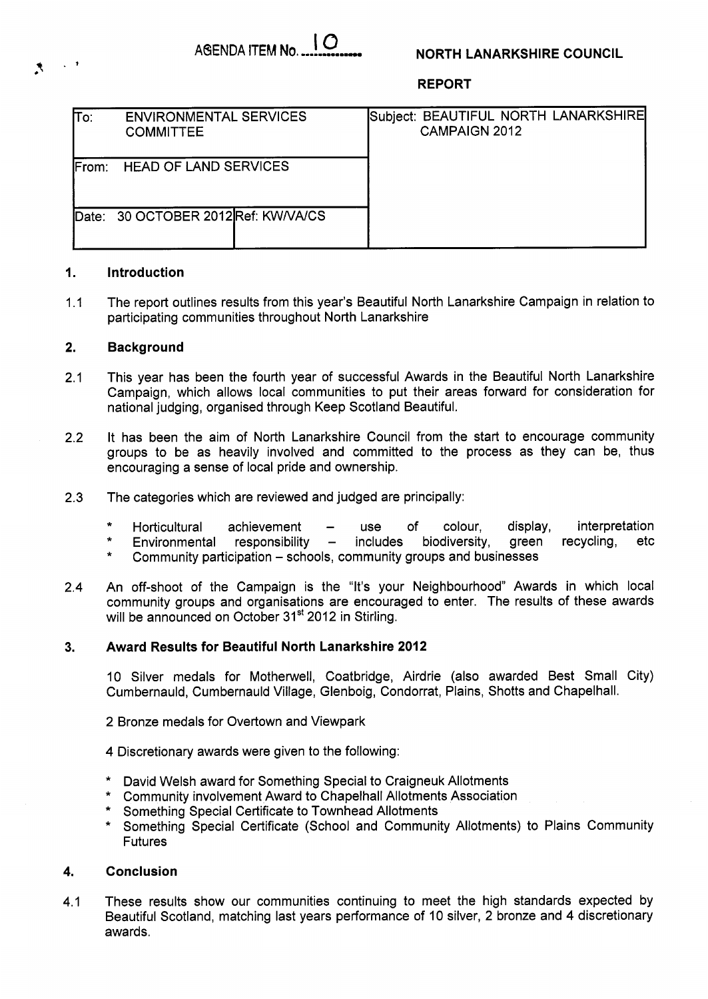# **NORTH LANARKSHIRE COUNCIL**

**REPORT** 

| To:               | <b>ENVIRONMENTAL SERVICES</b><br><b>COMMITTEE</b> |  | <b>CAMPAIGN 2012</b> | Subject: BEAUTIFUL NORTH LANARKSHIRE |
|-------------------|---------------------------------------------------|--|----------------------|--------------------------------------|
| IFrom:            | <b>HEAD OF LAND SERVICES</b>                      |  |                      |                                      |
| $\mathsf{Date}$ : | 30 OCTOBER 2012Ref: KW/VA/CS                      |  |                      |                                      |

### **1. Introduction**

1.1 The report outlines results from this year's Beautiful North Lanarkshire Campaign in relation to participating communities throughout North Lanarkshire

#### **2. Background**

- 2.1 This year has been the fourth year of successful Awards in the Beautiful North Lanarkshire Campaign, which allows local communities to put their areas forward for consideration for national judging, organised through Keep Scotland Beautiful.
- 2.2 It has been the aim of North Lanarkshire Council from the start to encourage community groups to be as heavily involved and committed to the process as they can be, thus encouraging a sense of local pride and ownership.
- 2.3 The categories which are reviewed and judged are principally:
	- \* Horticultural achievement use of colour, display, interpretation
	- $H$ orticultural achievement use of colour, display, interpretation<br>Environmental responsibility includes biodiversity, green recycling, etc<br>Community participation schools, community groups and businesses
	-
- 2.4 An off-shoot of the Campaign is the "It's your Neighbourhood" Awards in which local community groups and organisations are encouraged to enter. The results of these awards will be announced on October 31<sup>st</sup> 2012 in Stirling.

### **3. Award Results for Beautiful North Lanarkshire 2012**

10 Silver medals for Motherwell, Coatbridge, Airdrie (also awarded Best Small City) Cumbernauld, Cumbernauld Village, Glenboig, Condorrat, Plains, Shotts and Chapelhall.

- 2 Bronze medals for Overtown and Viewpark
- 4 Discretionary awards were given to the following:
- \* David Welsh award for Something Special to Craigneuk Allotments
- \* Community involvement Award to Chapelhall Allotments Association
- \* Something Special Certificate to Townhead Allotments
- \* Something Special Certificate (School and Community Allotments) to Plains Community Futures

### **4. Conclusion**

4.1 These results show our communities continuing to meet the high standards expected by Beautiful Scotland, matching last years performance of 10 silver, 2 bronze and 4 discretionary awards.